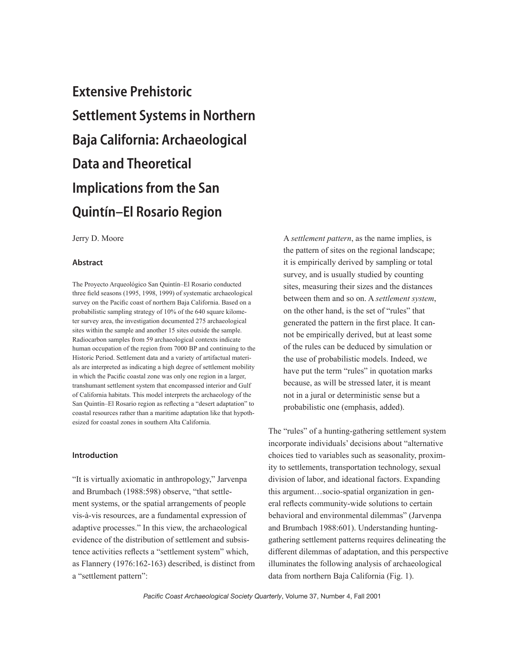# Extensive Prehistoric Settlement Systems in Northern Baja California: Archaeological Data and Theoretical Implications from the San Quintín–El Rosario Region

Jerry D. Moore

## Abstract

The Proyecto Arqueológico San Quintín–El Rosario conducted three field seasons (1995, 1998, 1999) of systematic archaeological survey on the Pacific coast of northern Baja California. Based on a probabilistic sampling strategy of 10% of the 640 square kilometer survey area, the investigation documented 275 archaeological sites within the sample and another 15 sites outside the sample. Radiocarbon samples from 59 archaeological contexts indicate human occupation of the region from 7000 BP and continuing to the Historic Period. Settlement data and a variety of artifactual materials are interpreted as indicating a high degree of settlement mobility in which the Pacific coastal zone was only one region in a larger, transhumant settlement system that encompassed interior and Gulf of California habitats. This model interprets the archaeology of the San Quintín–El Rosario region as reflecting a "desert adaptation" to coastal resources rather than a maritime adaptation like that hypothesized for coastal zones in southern Alta California.

## Introduction

"It is virtually axiomatic in anthropology," Jarvenpa and Brumbach (1988:598) observe, "that settlement systems, or the spatial arrangements of people vis-à-vis resources, are a fundamental expression of adaptive processes." In this view, the archaeological evidence of the distribution of settlement and subsistence activities reflects a "settlement system" which, as Flannery (1976:162-163) described, is distinct from a "settlement pattern":

A *settlement pattern*, as the name implies, is the pattern of sites on the regional landscape; it is empirically derived by sampling or total survey, and is usually studied by counting sites, measuring their sizes and the distances between them and so on. A *settlement system*, on the other hand, is the set of "rules" that generated the pattern in the first place. It cannot be empirically derived, but at least some of the rules can be deduced by simulation or the use of probabilistic models. Indeed, we have put the term "rules" in quotation marks because, as will be stressed later, it is meant not in a jural or deterministic sense but a probabilistic one (emphasis, added).

The "rules" of a hunting-gathering settlement system incorporate individuals' decisions about "alternative choices tied to variables such as seasonality, proximity to settlements, transportation technology, sexual division of labor, and ideational factors. Expanding this argument…socio-spatial organization in general reflects community-wide solutions to certain behavioral and environmental dilemmas" (Jarvenpa and Brumbach 1988:601). Understanding huntinggathering settlement patterns requires delineating the different dilemmas of adaptation, and this perspective illuminates the following analysis of archaeological data from northern Baja California (Fig. 1).

*Pacific Coast Archaeological Society Quarterly*, Volume 37, Number 4, Fall 2001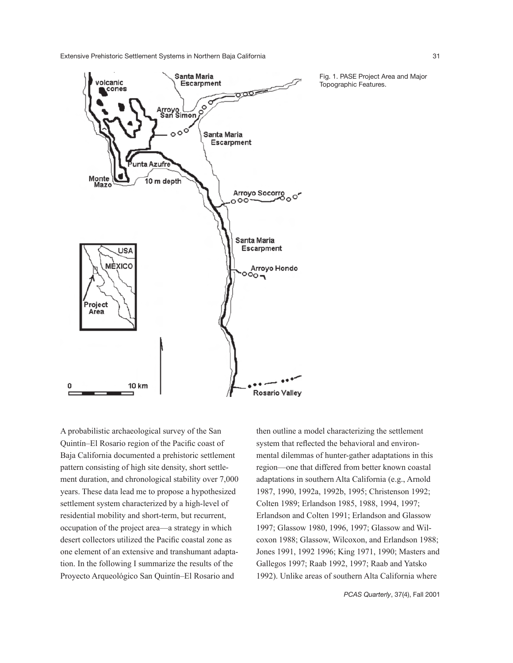Extensive Prehistoric Settlement Systems in Northern Baja California 31



A probabilistic archaeological survey of the San Quintín–El Rosario region of the Pacific coast of Baja California documented a prehistoric settlement pattern consisting of high site density, short settlement duration, and chronological stability over 7,000 years. These data lead me to propose a hypothesized settlement system characterized by a high-level of residential mobility and short-term, but recurrent, occupation of the project area—a strategy in which desert collectors utilized the Pacific coastal zone as one element of an extensive and transhumant adaptation. In the following I summarize the results of the Proyecto Arqueológico San Quintín–El Rosario and

then outline a model characterizing the settlement system that reflected the behavioral and environmental dilemmas of hunter-gather adaptations in this region—one that differed from better known coastal adaptations in southern Alta California (e.g., Arnold 1987, 1990, 1992a, 1992b, 1995; Christenson 1992; Colten 1989; Erlandson 1985, 1988, 1994, 1997; Erlandson and Colten 1991; Erlandson and Glassow 1997; Glassow 1980, 1996, 1997; Glassow and Wilcoxon 1988; Glassow, Wilcoxon, and Erlandson 1988; Jones 1991, 1992 1996; King 1971, 1990; Masters and Gallegos 1997; Raab 1992, 1997; Raab and Yatsko 1992). Unlike areas of southern Alta California where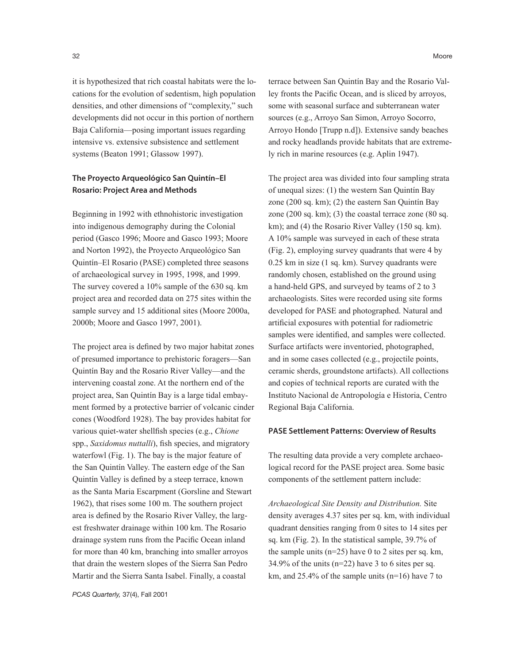it is hypothesized that rich coastal habitats were the locations for the evolution of sedentism, high population densities, and other dimensions of "complexity," such developments did not occur in this portion of northern Baja California—posing important issues regarding intensive vs. extensive subsistence and settlement systems (Beaton 1991; Glassow 1997).

# The Proyecto Arqueológico San Quintín–El Rosario: Project Area and Methods

Beginning in 1992 with ethnohistoric investigation into indigenous demography during the Colonial period (Gasco 1996; Moore and Gasco 1993; Moore and Norton 1992), the Proyecto Arqueológico San Quintín–El Rosario (PASE) completed three seasons of archaeological survey in 1995, 1998, and 1999. The survey covered a 10% sample of the 630 sq. km project area and recorded data on 275 sites within the sample survey and 15 additional sites (Moore 2000a, 2000b; Moore and Gasco 1997, 2001).

The project area is defined by two major habitat zones of presumed importance to prehistoric foragers—San Quintín Bay and the Rosario River Valley—and the intervening coastal zone. At the northern end of the project area, San Quintín Bay is a large tidal embayment formed by a protective barrier of volcanic cinder cones (Woodford 1928). The bay provides habitat for various quiet-water shellfish species (e.g., *Chione*  spp., *Saxidomus nuttalli*), fish species, and migratory waterfowl (Fig. 1). The bay is the major feature of the San Quintín Valley. The eastern edge of the San Quintín Valley is defined by a steep terrace, known as the Santa Maria Escarpment (Gorsline and Stewart 1962), that rises some 100 m. The southern project area is defined by the Rosario River Valley, the largest freshwater drainage within 100 km. The Rosario drainage system runs from the Pacific Ocean inland for more than 40 km, branching into smaller arroyos that drain the western slopes of the Sierra San Pedro Martir and the Sierra Santa Isabel. Finally, a coastal

terrace between San Quintín Bay and the Rosario Valley fronts the Pacific Ocean, and is sliced by arroyos, some with seasonal surface and subterranean water sources (e.g., Arroyo San Simon, Arroyo Socorro, Arroyo Hondo [Trupp n.d]). Extensive sandy beaches and rocky headlands provide habitats that are extremely rich in marine resources (e.g. Aplin 1947).

The project area was divided into four sampling strata of unequal sizes: (1) the western San Quintín Bay zone (200 sq. km); (2) the eastern San Quintín Bay zone  $(200 \text{ sq. km})$ ;  $(3)$  the coastal terrace zone  $(80 \text{ sq.})$ km); and (4) the Rosario River Valley (150 sq. km). A 10% sample was surveyed in each of these strata (Fig. 2), employing survey quadrants that were 4 by 0.25 km in size (1 sq. km). Survey quadrants were randomly chosen, established on the ground using a hand-held GPS, and surveyed by teams of 2 to 3 archaeologists. Sites were recorded using site forms developed for PASE and photographed. Natural and artificial exposures with potential for radiometric samples were identified, and samples were collected. Surface artifacts were inventoried, photographed, and in some cases collected (e.g., projectile points, ceramic sherds, groundstone artifacts). All collections and copies of technical reports are curated with the Instituto Nacional de Antropología e Historia, Centro Regional Baja California.

#### PASE Settlement Patterns: Overview of Results

The resulting data provide a very complete archaeological record for the PASE project area. Some basic components of the settlement pattern include:

*Archaeological Site Density and Distribution.* Site density averages 4.37 sites per sq. km, with individual quadrant densities ranging from 0 sites to 14 sites per sq. km (Fig. 2). In the statistical sample, 39.7% of the sample units  $(n=25)$  have 0 to 2 sites per sq. km,  $34.9\%$  of the units (n=22) have 3 to 6 sites per sq. km, and 25.4% of the sample units (n=16) have 7 to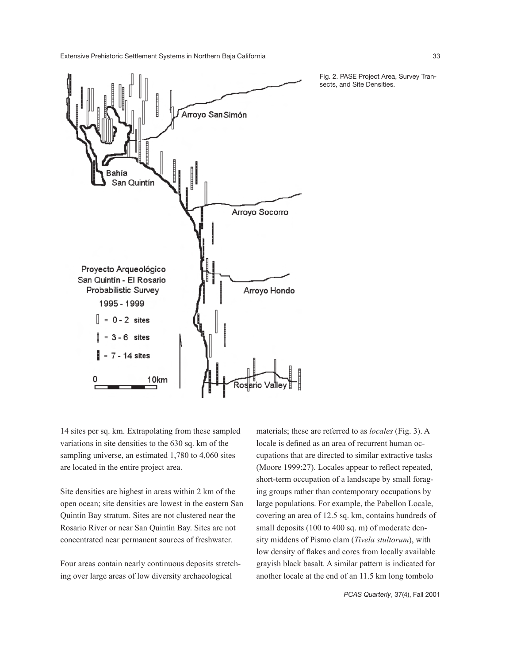Extensive Prehistoric Settlement Systems in Northern Baja California 33



Fig. 2. PASE Project Area, Survey Transects, and Site Densities.

14 sites per sq. km. Extrapolating from these sampled variations in site densities to the 630 sq. km of the sampling universe, an estimated 1,780 to 4,060 sites are located in the entire project area.

Site densities are highest in areas within 2 km of the open ocean; site densities are lowest in the eastern San Quintín Bay stratum. Sites are not clustered near the Rosario River or near San Quintín Bay. Sites are not concentrated near permanent sources of freshwater.

Four areas contain nearly continuous deposits stretching over large areas of low diversity archaeological

materials; these are referred to as *locales* (Fig. 3). A locale is defined as an area of recurrent human occupations that are directed to similar extractive tasks (Moore 1999:27). Locales appear to reflect repeated, short-term occupation of a landscape by small foraging groups rather than contemporary occupations by large populations. For example, the Pabellon Locale, covering an area of 12.5 sq. km, contains hundreds of small deposits (100 to 400 sq. m) of moderate density middens of Pismo clam (*Tivela stultorum*), with low density of flakes and cores from locally available grayish black basalt. A similar pattern is indicated for another locale at the end of an 11.5 km long tombolo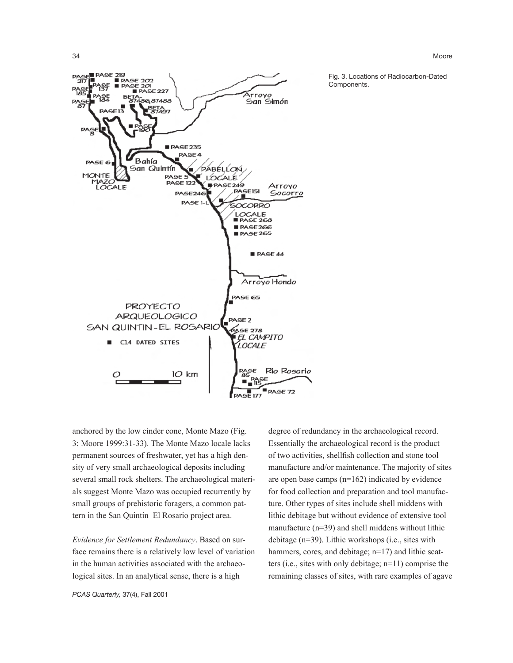34 Moore



Fig. 3. Locations of Radiocarbon-Dated Components.

anchored by the low cinder cone, Monte Mazo (Fig. 3; Moore 1999:31-33). The Monte Mazo locale lacks permanent sources of freshwater, yet has a high density of very small archaeological deposits including several small rock shelters. The archaeological materials suggest Monte Mazo was occupied recurrently by small groups of prehistoric foragers, a common pattern in the San Quintín–El Rosario project area.

*Evidence for Settlement Redundancy*. Based on surface remains there is a relatively low level of variation in the human activities associated with the archaeological sites. In an analytical sense, there is a high

Essentially the archaeological record is the product of two activities, shellfish collection and stone tool manufacture and/or maintenance. The majority of sites are open base camps (n=162) indicated by evidence for food collection and preparation and tool manufacture. Other types of sites include shell middens with lithic debitage but without evidence of extensive tool manufacture (n=39) and shell middens without lithic debitage (n=39). Lithic workshops (i.e., sites with hammers, cores, and debitage; n=17) and lithic scatters (i.e., sites with only debitage; n=11) comprise the remaining classes of sites, with rare examples of agave

degree of redundancy in the archaeological record.

*PCAS Quarterly,* 37(4), Fall 2001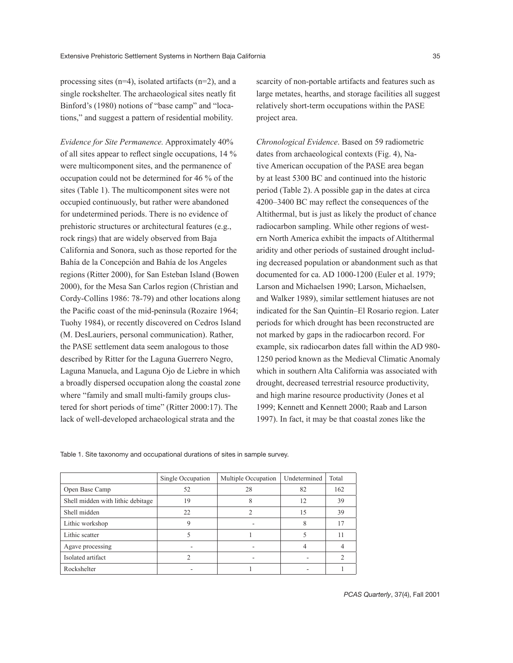processing sites (n=4), isolated artifacts (n=2), and a single rockshelter. The archaeological sites neatly fit Binford's (1980) notions of "base camp" and "locations," and suggest a pattern of residential mobility.

*Evidence for Site Permanence.* Approximately 40% of all sites appear to reflect single occupations, 14 % were multicomponent sites, and the permanence of occupation could not be determined for 46 % of the sites (Table 1). The multicomponent sites were not occupied continuously, but rather were abandoned for undetermined periods. There is no evidence of prehistoric structures or architectural features (e.g., rock rings) that are widely observed from Baja California and Sonora, such as those reported for the Bahía de la Concepción and Bahía de los Angeles regions (Ritter 2000), for San Esteban Island (Bowen 2000), for the Mesa San Carlos region (Christian and Cordy-Collins 1986: 78-79) and other locations along the Pacific coast of the mid-peninsula (Rozaire 1964; Tuohy 1984), or recently discovered on Cedros Island (M. DesLauriers, personal communication). Rather, the PASE settlement data seem analogous to those described by Ritter for the Laguna Guerrero Negro, Laguna Manuela, and Laguna Ojo de Liebre in which a broadly dispersed occupation along the coastal zone where "family and small multi-family groups clustered for short periods of time" (Ritter 2000:17). The lack of well-developed archaeological strata and the

scarcity of non-portable artifacts and features such as large metates, hearths, and storage facilities all suggest relatively short-term occupations within the PASE project area.

*Chronological Evidence*. Based on 59 radiometric dates from archaeological contexts (Fig. 4), Native American occupation of the PASE area began by at least 5300 BC and continued into the historic period (Table 2). A possible gap in the dates at circa 4200–3400 BC may reflect the consequences of the Altithermal, but is just as likely the product of chance radiocarbon sampling. While other regions of western North America exhibit the impacts of Altithermal aridity and other periods of sustained drought including decreased population or abandonment such as that documented for ca. AD 1000-1200 (Euler et al. 1979; Larson and Michaelsen 1990; Larson, Michaelsen, and Walker 1989), similar settlement hiatuses are not indicated for the San Quintín–El Rosario region. Later periods for which drought has been reconstructed are not marked by gaps in the radiocarbon record. For example, six radiocarbon dates fall within the AD 980- 1250 period known as the Medieval Climatic Anomaly which in southern Alta California was associated with drought, decreased terrestrial resource productivity, and high marine resource productivity (Jones et al 1999; Kennett and Kennett 2000; Raab and Larson 1997). In fact, it may be that coastal zones like the

Table 1. Site taxonomy and occupational durations of sites in sample survey.

|                                   | Single Occupation | Multiple Occupation | Undetermined | Total |
|-----------------------------------|-------------------|---------------------|--------------|-------|
| Open Base Camp                    | 52                | 28                  | 82           | 162   |
| Shell midden with lithic debitage | 19                | 8                   | 12           | 39    |
| Shell midden                      | 22                |                     | 15           | 39    |
| Lithic workshop                   | 9                 |                     |              | 17    |
| Lithic scatter                    |                   |                     |              |       |
| Agave processing                  |                   |                     |              |       |
| Isolated artifact                 |                   |                     |              |       |
| Rockshelter                       |                   |                     |              |       |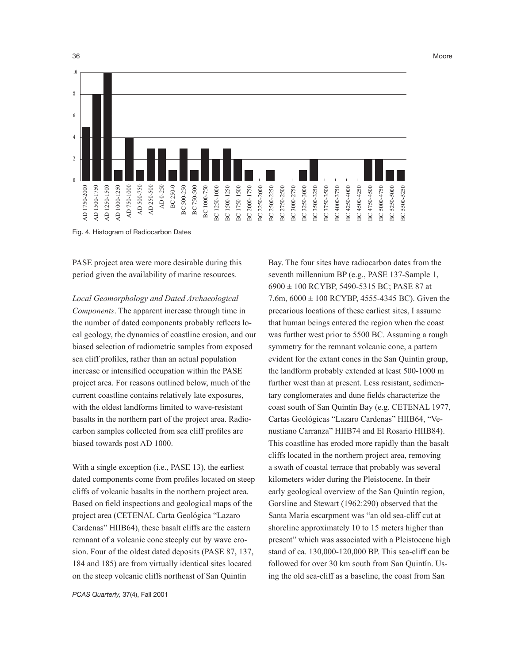

Fig. 4. Histogram of Radiocarbon Dates

PASE project area were more desirable during this period given the availability of marine resources.

*Local Geomorphology and Dated Archaeological Components*. The apparent increase through time in the number of dated components probably reflects local geology, the dynamics of coastline erosion, and our biased selection of radiometric samples from exposed sea cliff profiles, rather than an actual population increase or intensified occupation within the PASE project area. For reasons outlined below, much of the current coastline contains relatively late exposures, with the oldest landforms limited to wave-resistant basalts in the northern part of the project area. Radiocarbon samples collected from sea cliff profiles are biased towards post AD 1000.

With a single exception (i.e., PASE 13), the earliest dated components come from profiles located on steep cliffs of volcanic basalts in the northern project area. Based on field inspections and geological maps of the project area (CETENAL Carta Geológica "Lazaro Cardenas" HIIB64), these basalt cliffs are the eastern remnant of a volcanic cone steeply cut by wave erosion. Four of the oldest dated deposits (PASE 87, 137, 184 and 185) are from virtually identical sites located on the steep volcanic cliffs northeast of San Quintín

*PCAS Quarterly,* 37(4), Fall 2001

Bay. The four sites have radiocarbon dates from the seventh millennium BP (e.g., PASE 137-Sample 1, 6900 ± 100 RCYBP, 5490-5315 BC; PASE 87 at 7.6m,  $6000 \pm 100$  RCYBP, 4555-4345 BC). Given the precarious locations of these earliest sites, I assume that human beings entered the region when the coast was further west prior to 5500 BC. Assuming a rough symmetry for the remnant volcanic cone, a pattern evident for the extant cones in the San Quintín group, the landform probably extended at least 500-1000 m further west than at present. Less resistant, sedimentary conglomerates and dune fields characterize the coast south of San Quintín Bay (e.g. CETENAL 1977, Cartas Geológicas "Lazaro Cardenas" HIIB64, "Venustiano Carranza" HIIB74 and El Rosario HIIB84). This coastline has eroded more rapidly than the basalt cliffs located in the northern project area, removing a swath of coastal terrace that probably was several kilometers wider during the Pleistocene. In their early geological overview of the San Quintín region, Gorsline and Stewart (1962:290) observed that the Santa Maria escarpment was "an old sea-cliff cut at shoreline approximately 10 to 15 meters higher than present" which was associated with a Pleistocene high stand of ca. 130,000-120,000 BP. This sea-cliff can be followed for over 30 km south from San Quintín. Using the old sea-cliff as a baseline, the coast from San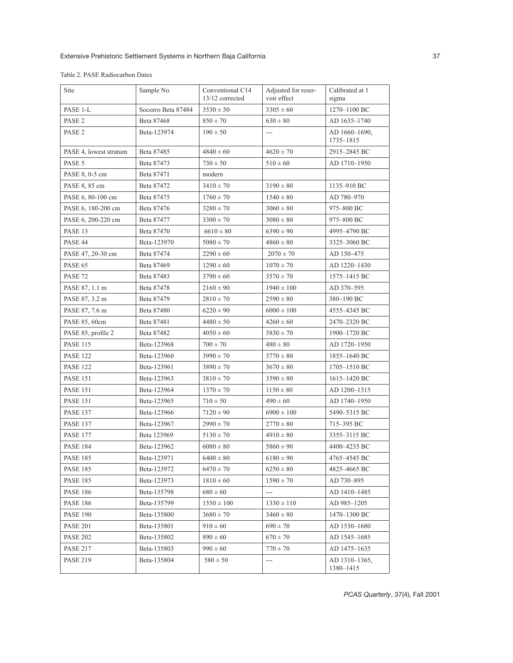| Site                   | Sample No.         | Conventional C14<br>13/12 corrected | Adjusted for reser-<br>voir effect | Calibrated at 1<br>sigma   |
|------------------------|--------------------|-------------------------------------|------------------------------------|----------------------------|
| PASE 1-L               | Socorro Beta 87484 | $3530 \pm 50$                       | $3305 \pm 60$                      | 1270-1100 BC               |
| PASE <sub>2</sub>      | Beta 87468         | $850 \pm 70$                        | $630 \pm 80$                       | AD 1635-1740               |
| PASE <sub>2</sub>      | Beta-123974        | $190 \pm 50$                        | $\overline{a}$                     | AD 1660-1690,<br>1735-1815 |
| PASE 4, lowest stratum | Beta 87485         | $4840 \pm 60$                       | $4620 \pm 70$                      | 2915-2845 BC               |
| PASE 5                 | Beta 87473         | $730 \pm 50$                        | $510 \pm 60$                       | AD 1710-1950               |
| PASE 8, 0-5 cm         | Beta 87471         | modern                              |                                    |                            |
| PASE 8, 85 cm          | Beta 87472         | $3410 \pm 70$                       | $3190 \pm 80$                      | 1135-910 BC                |
| PASE 6, 80-100 cm      | Beta 87475         | $1760 \pm 70$                       | $1540 \pm 80$                      | AD 780-970                 |
| PASE 6, 180-200 cm     | Beta 87476         | $3280 \pm 70$                       | $3060 \pm 80$                      | 975-800 BC                 |
| PASE 6, 200-220 cm     | Beta 87477         | $3300 \pm 70$                       | $3080 \pm 80$                      | 975-800 BC                 |
| PASE 13                | Beta 87470         | $6610 \pm 80$                       | $6390 \pm 90$                      | 4995-4790 BC               |
| PASE 44                | Beta-123970        | $5080 \pm 70$                       | $4860 \pm 80$                      | 3325-3060 BC               |
| PASE 47, 20-30 cm      | Beta 87474         | $2290 \pm 60$                       | $2070 \pm 70$                      | AD 150-475                 |
| PASE 65                | Beta 87469         | $1290 \pm 60$                       | $1070 \pm 70$                      | AD 1220-1430               |
| PASE 72                | Beta 87483         | $3790 \pm 60$                       | $3570 \pm 70$                      | 1575–1415 BC               |
| PASE 87, 1.1 m         | Beta 87478         | $2160 \pm 90$                       | $1940 \pm 100$                     | AD 370-595                 |
| PASE 87, 3.2 m         | Beta 87479         | $2810 \pm 70$                       | $2590 \pm 80$                      | 380-190 BC                 |
| PASE 87, 7.6 m         | Beta 87480         | $6220 \pm 90$                       | $6000 \pm 100$                     | 4555-4345 BC               |
| PASE 85, 60cm          | Beta 87481         | $4480 \pm 50$                       | $4260 \pm 60$                      | 2470-2320 BC               |
| PASE 85, profile 2     | Beta 87482         | $4050 \pm 60$                       | $3830 \pm 70$                      | 1900-1720 BC               |
| <b>PASE 115</b>        | Beta-123968        | $700 \pm 70$                        | $480 \pm 80$                       | AD 1720-1950               |
| <b>PASE 122</b>        | Beta-123960        | $3990 \pm 70$                       | $3770 \pm 80$                      | 1855-1640 BC               |
| <b>PASE 122</b>        | Beta-123961        | $3890 \pm 70$                       | $3670 \pm 80$                      | 1705-1510 BC               |
| <b>PASE 151</b>        | Beta-123963        | $3810 \pm 70$                       | $3590 \pm 80$                      | 1615-1420 BC               |
| <b>PASE 151</b>        | Beta-123964        | $1370 \pm 70$                       | $1150 \pm 80$                      | AD 1200-1315               |
| <b>PASE 151</b>        | Beta-123965        | $710 \pm 50$                        | $490 \pm 60$                       | AD 1740-1950               |
| <b>PASE 137</b>        | Beta-123966        | $7120 \pm 90$                       | $6900 \pm 100$                     | 5490-5315 BC               |
| <b>PASE 137</b>        | Beta-123967        | $2990 \pm 70$                       | $2770 \pm 80$                      | 715-395 BC                 |
| <b>PASE 177</b>        | Beta 123969        | $5130 \pm 70$                       | $4910 \pm 80$                      | 3355-3115 BC               |
| <b>PASE 184</b>        | Beta-123962        | $6080 \pm 80$                       | $5860 \pm 90$                      | 4400-4235 BC               |
| <b>PASE 185</b>        | Beta-123971        | $6400\pm80$                         | $6180 \pm 90$                      | 4765-4545 BC               |
| <b>PASE 185</b>        | Beta-123972        | $6470 \pm 70$                       | $6250 \pm 80$                      | 4825-4665 BC               |
| <b>PASE 185</b>        | Beta-123973        | $1810 \pm 60$                       | $1590 \pm 70$                      | AD 730-895                 |
| <b>PASE 186</b>        | Beta-135798        | $680 \pm 60$                        | $\overline{a}$                     | AD 1410-1485               |
| <b>PASE 186</b>        | Beta-135799        | $1550 \pm 100$                      | $1330 \pm 110$                     | AD 985-1205                |
| <b>PASE 190</b>        | Beta-135800        | $3680 \pm 70$                       | $3460 \pm 80$                      | 1470-1300 BC               |
| <b>PASE 201</b>        | Beta-135801        | $910 \pm 60$                        | $690 \pm 70$                       | AD 1530-1680               |
| <b>PASE 202</b>        | Beta-135802        | $890 \pm 60$                        | $670 \pm 70$                       | AD 1545-1685               |
| <b>PASE 217</b>        | Beta-135803        | $990 \pm 60$                        | $770 \pm 70$                       | AD 1475-1635               |
| <b>PASE 219</b>        | Beta-135804        | $580 \pm 50$                        | ---                                | AD 1310-1365,<br>1380-1415 |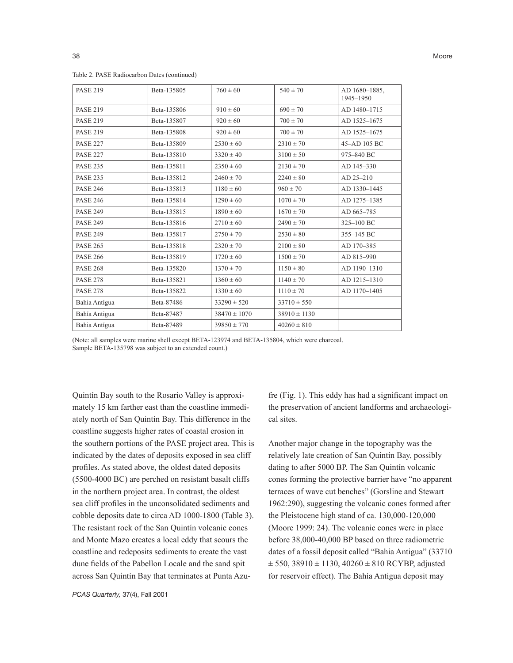| <b>PASE 219</b> | Beta-135805 | $760 \pm 60$     | $540 \pm 70$     | AD 1680-1885.<br>1945-1950 |
|-----------------|-------------|------------------|------------------|----------------------------|
| <b>PASE 219</b> | Beta-135806 | $910 \pm 60$     | $690 \pm 70$     | AD 1480-1715               |
| <b>PASE 219</b> | Beta-135807 | $920 \pm 60$     | $700 \pm 70$     | AD 1525-1675               |
| <b>PASE 219</b> | Beta-135808 | $920 \pm 60$     | $700 \pm 70$     | AD 1525-1675               |
| <b>PASE 227</b> | Beta-135809 | $2530 \pm 60$    | $2310 \pm 70$    | 45-AD 105 BC               |
| <b>PASE 227</b> | Beta-135810 | $3320 \pm 40$    | $3100 \pm 50$    | 975-840 BC                 |
| <b>PASE 235</b> | Beta-135811 | $2350 \pm 60$    | $2130 \pm 70$    | AD 145-330                 |
| <b>PASE 235</b> | Beta-135812 | $2460 \pm 70$    | $2240 \pm 80$    | AD 25-210                  |
| <b>PASE 246</b> | Beta-135813 | $1180 \pm 60$    | $960 \pm 70$     | AD 1330-1445               |
| <b>PASE 246</b> | Beta-135814 | $1290 \pm 60$    | $1070 \pm 70$    | AD 1275-1385               |
| <b>PASE 249</b> | Beta-135815 | $1890 \pm 60$    | $1670 \pm 70$    | AD 665-785                 |
| <b>PASE 249</b> | Beta-135816 | $2710 \pm 60$    | $2490 \pm 70$    | 325-100 BC                 |
| <b>PASE 249</b> | Beta-135817 | $2750 \pm 70$    | $2530 \pm 80$    | 355-145 BC                 |
| <b>PASE 265</b> | Beta-135818 | $2320 \pm 70$    | $2100 \pm 80$    | AD 170-385                 |
| <b>PASE 266</b> | Beta-135819 | $1720 \pm 60$    | $1500 \pm 70$    | AD 815-990                 |
| <b>PASE 268</b> | Beta-135820 | $1370 \pm 70$    | $1150 \pm 80$    | AD 1190-1310               |
| <b>PASE 278</b> | Beta-135821 | $1360 \pm 60$    | $1140 \pm 70$    | AD 1215-1310               |
| <b>PASE 278</b> | Beta-135822 | $1330 \pm 60$    | $1110 \pm 70$    | AD 1170-1405               |
| Bahia Antígua   | Beta-87486  | $33290 \pm 520$  | $33710 \pm 550$  |                            |
| Bahía Antigua   | Beta-87487  | $38470 \pm 1070$ | $38910 \pm 1130$ |                            |
| Bahia Antígua   | Beta-87489  | $39850 \pm 770$  | $40260 \pm 810$  |                            |

Table 2. PASE Radiocarbon Dates (continued)

(Note: all samples were marine shell except BETA-123974 and BETA-135804, which were charcoal. Sample BETA-135798 was subject to an extended count.)

Quintín Bay south to the Rosario Valley is approximately 15 km farther east than the coastline immediately north of San Quintín Bay. This difference in the coastline suggests higher rates of coastal erosion in the southern portions of the PASE project area. This is indicated by the dates of deposits exposed in sea cliff profiles. As stated above, the oldest dated deposits (5500-4000 BC) are perched on resistant basalt cliffs in the northern project area. In contrast, the oldest sea cliff profiles in the unconsolidated sediments and cobble deposits date to circa AD 1000-1800 (Table 3). The resistant rock of the San Quintín volcanic cones and Monte Mazo creates a local eddy that scours the coastline and redeposits sediments to create the vast dune fields of the Pabellon Locale and the sand spit across San Quintín Bay that terminates at Punta Azu-

fre (Fig. 1). This eddy has had a significant impact on the preservation of ancient landforms and archaeological sites.

Another major change in the topography was the relatively late creation of San Quintín Bay, possibly dating to after 5000 BP. The San Quintín volcanic cones forming the protective barrier have "no apparent terraces of wave cut benches" (Gorsline and Stewart 1962:290), suggesting the volcanic cones formed after the Pleistocene high stand of ca. 130,000-120,000 (Moore 1999: 24). The volcanic cones were in place before 38,000-40,000 BP based on three radiometric dates of a fossil deposit called "Bahia Antigua" (33710  $\pm$  550, 38910  $\pm$  1130, 40260  $\pm$  810 RCYBP, adjusted for reservoir effect). The Bahía Antigua deposit may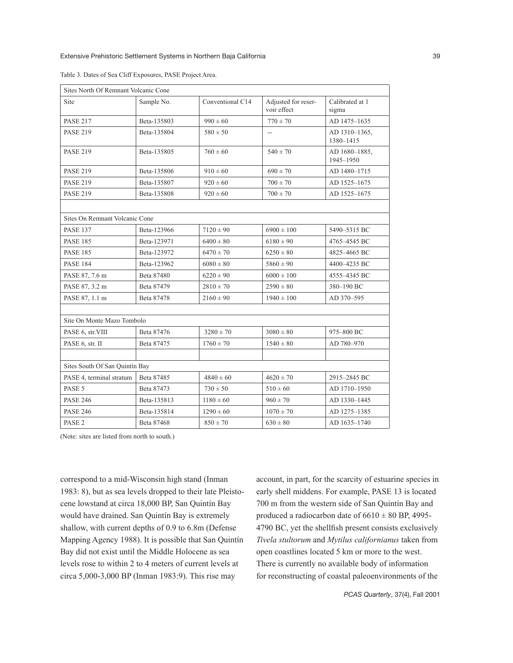| Sites North Of Remnant Volcanic Cone |                             |                                                        |                |                            |  |
|--------------------------------------|-----------------------------|--------------------------------------------------------|----------------|----------------------------|--|
| Site                                 | Sample No.                  | Conventional C14<br>Adjusted for reser-<br>voir effect |                | Calibrated at 1<br>sigma   |  |
| <b>PASE 217</b>                      | Beta-135803                 | $990 \pm 60$<br>$770 \pm 70$                           |                | AD 1475-1635               |  |
| <b>PASE 219</b>                      | Beta-135804                 | $580 \pm 50$                                           | Щ,             | AD 1310-1365,<br>1380-1415 |  |
| <b>PASE 219</b>                      | Beta-135805                 | $760 \pm 60$                                           | $540 \pm 70$   | AD 1680-1885.<br>1945-1950 |  |
| <b>PASE 219</b>                      | Beta-135806                 | $910 \pm 60$                                           | $690 \pm 70$   | AD 1480-1715               |  |
| <b>PASE 219</b>                      | Beta-135807                 | $700 \pm 70$<br>$920 \pm 60$                           |                | AD 1525-1675               |  |
| <b>PASE 219</b>                      | Beta-135808<br>$920 \pm 60$ |                                                        | $700 \pm 70$   | AD 1525-1675               |  |
|                                      |                             |                                                        |                |                            |  |
| Sites On Remnant Volcanic Cone       |                             |                                                        |                |                            |  |
| <b>PASE 137</b>                      | Beta-123966                 | $7120 \pm 90$                                          | $6900 \pm 100$ | 5490-5315 BC               |  |
| <b>PASE 185</b>                      | Beta-123971                 | $6400 \pm 80$                                          | $6180 \pm 90$  | 4765-4545 BC               |  |
| <b>PASE 185</b>                      | Beta-123972                 | $6470 \pm 70$                                          | $6250 \pm 80$  | 4825-4665 BC               |  |
| <b>PASE 184</b>                      | Beta-123962                 | $6080 \pm 80$                                          | $5860 \pm 90$  | 4400-4235 BC               |  |
| PASE 87, 7.6 m                       | Beta 87480                  | $6220 \pm 90$                                          | $6000 \pm 100$ | 4555-4345 BC               |  |
| PASE 87, 3.2 m                       | Beta 87479                  | $2810 \pm 70$                                          | $2590 \pm 80$  | 380-190 BC                 |  |
| PASE 87, 1.1 m                       | Beta 87478                  | $2160 \pm 90$                                          | $1940 \pm 100$ | AD 370-595                 |  |
|                                      |                             |                                                        |                |                            |  |
| Site On Monte Mazo Tombolo           |                             |                                                        |                |                            |  |
| PASE 6, str. VIII                    | Beta 87476                  | $3280 \pm 70$                                          | $3080 \pm 80$  | 975-800 BC                 |  |
| PASE 6, str. II                      | Beta 87475                  | $1760 \pm 70$                                          | $1540 \pm 80$  | AD 780-970                 |  |
|                                      |                             |                                                        |                |                            |  |
| Sites South Of San Quintín Bay       |                             |                                                        |                |                            |  |
| PASE 4, terminal stratum             | Beta 87485                  | $4840 \pm 60$                                          | $4620 \pm 70$  | 2915-2845 BC               |  |
| PASE 5                               | Beta 87473                  | $730 \pm 50$                                           | $510 \pm 60$   | AD 1710-1950               |  |
| <b>PASE 246</b>                      | Beta-135813                 | $1180 \pm 60$                                          | $960 \pm 70$   | AD 1330-1445               |  |
| <b>PASE 246</b>                      | Beta-135814                 | $1290 \pm 60$                                          | $1070 \pm 70$  | AD 1275-1385               |  |
| PASE <sub>2</sub>                    | Beta 87468                  | $850 \pm 70$                                           | $630 \pm 80$   | AD 1635-1740               |  |

Table 3. Dates of Sea Cliff Exposures, PASE Project Area.

(Note: sites are listed from north to south.)

correspond to a mid-Wisconsin high stand (Inman 1983: 8), but as sea levels dropped to their late Pleistocene lowstand at circa 18,000 BP, San Quintín Bay would have drained. San Quintín Bay is extremely shallow, with current depths of 0.9 to 6.8m (Defense Mapping Agency 1988). It is possible that San Quintín Bay did not exist until the Middle Holocene as sea levels rose to within 2 to 4 meters of current levels at circa 5,000-3,000 BP (Inman 1983:9). This rise may

account, in part, for the scarcity of estuarine species in early shell middens. For example, PASE 13 is located 700 m from the western side of San Quintín Bay and produced a radiocarbon date of  $6610 \pm 80$  BP, 4995-4790 BC, yet the shellfish present consists exclusively *Tivela stultorum* and *Mytilus californianus* taken from open coastlines located 5 km or more to the west. There is currently no available body of information for reconstructing of coastal paleoenvironments of the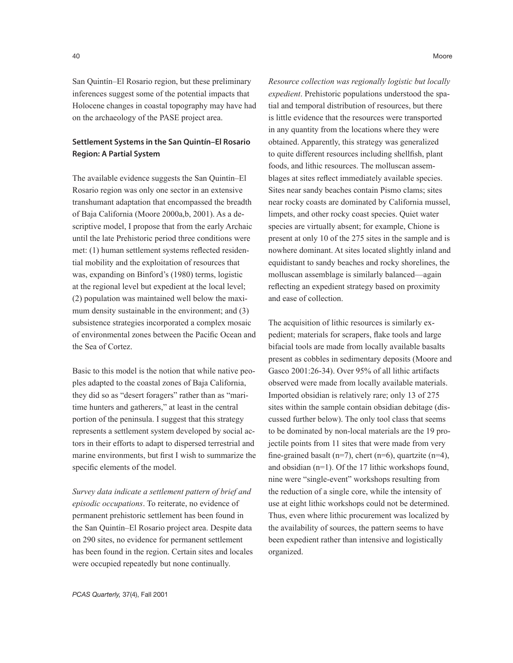San Quintín–El Rosario region, but these preliminary inferences suggest some of the potential impacts that Holocene changes in coastal topography may have had on the archaeology of the PASE project area.

# Settlement Systems in the San Quintín–El Rosario Region: A Partial System

The available evidence suggests the San Quintín–El Rosario region was only one sector in an extensive transhumant adaptation that encompassed the breadth of Baja California (Moore 2000a,b, 2001). As a descriptive model, I propose that from the early Archaic until the late Prehistoric period three conditions were met: (1) human settlement systems reflected residential mobility and the exploitation of resources that was, expanding on Binford's (1980) terms, logistic at the regional level but expedient at the local level; (2) population was maintained well below the maximum density sustainable in the environment; and (3) subsistence strategies incorporated a complex mosaic of environmental zones between the Pacific Ocean and the Sea of Cortez.

Basic to this model is the notion that while native peoples adapted to the coastal zones of Baja California, they did so as "desert foragers" rather than as "maritime hunters and gatherers," at least in the central portion of the peninsula. I suggest that this strategy represents a settlement system developed by social actors in their efforts to adapt to dispersed terrestrial and marine environments, but first I wish to summarize the specific elements of the model.

*Survey data indicate a settlement pattern of brief and episodic occupations*. To reiterate, no evidence of permanent prehistoric settlement has been found in the San Quintín–El Rosario project area. Despite data on 290 sites, no evidence for permanent settlement has been found in the region. Certain sites and locales were occupied repeatedly but none continually.

*Resource collection was regionally logistic but locally expedient*. Prehistoric populations understood the spatial and temporal distribution of resources, but there is little evidence that the resources were transported in any quantity from the locations where they were obtained. Apparently, this strategy was generalized to quite different resources including shellfish, plant foods, and lithic resources. The molluscan assemblages at sites reflect immediately available species. Sites near sandy beaches contain Pismo clams; sites near rocky coasts are dominated by California mussel, limpets, and other rocky coast species. Quiet water species are virtually absent; for example, Chione is present at only 10 of the 275 sites in the sample and is nowhere dominant. At sites located slightly inland and equidistant to sandy beaches and rocky shorelines, the molluscan assemblage is similarly balanced—again reflecting an expedient strategy based on proximity

The acquisition of lithic resources is similarly expedient; materials for scrapers, flake tools and large bifacial tools are made from locally available basalts present as cobbles in sedimentary deposits (Moore and Gasco 2001:26-34). Over 95% of all lithic artifacts observed were made from locally available materials. Imported obsidian is relatively rare; only 13 of 275 sites within the sample contain obsidian debitage (discussed further below). The only tool class that seems to be dominated by non-local materials are the 19 projectile points from 11 sites that were made from very fine-grained basalt (n=7), chert (n=6), quartzite (n=4), and obsidian (n=1). Of the 17 lithic workshops found, nine were "single-event" workshops resulting from the reduction of a single core, while the intensity of use at eight lithic workshops could not be determined. Thus, even where lithic procurement was localized by the availability of sources, the pattern seems to have been expedient rather than intensive and logistically organized.

and ease of collection.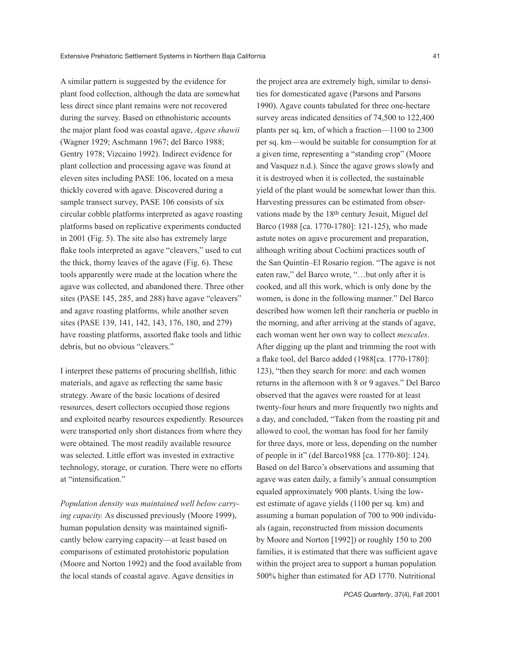A similar pattern is suggested by the evidence for plant food collection, although the data are somewhat less direct since plant remains were not recovered during the survey. Based on ethnohistoric accounts the major plant food was coastal agave, *Agave shawii* (Wagner 1929; Aschmann 1967; del Barco 1988; Gentry 1978; Vizcaino 1992). Indirect evidence for plant collection and processing agave was found at eleven sites including PASE 106, located on a mesa thickly covered with agave. Discovered during a sample transect survey, PASE 106 consists of six circular cobble platforms interpreted as agave roasting platforms based on replicative experiments conducted in 2001 (Fig. 5). The site also has extremely large flake tools interpreted as agave "cleavers," used to cut the thick, thorny leaves of the agave (Fig. 6). These tools apparently were made at the location where the agave was collected, and abandoned there. Three other sites (PASE 145, 285, and 288) have agave "cleavers" and agave roasting platforms, while another seven sites (PASE 139, 141, 142, 143, 176, 180, and 279) have roasting platforms, assorted flake tools and lithic debris, but no obvious "cleavers."

I interpret these patterns of procuring shellfish, lithic materials, and agave as reflecting the same basic strategy. Aware of the basic locations of desired resources, desert collectors occupied those regions and exploited nearby resources expediently. Resources were transported only short distances from where they were obtained. The most readily available resource was selected. Little effort was invested in extractive technology, storage, or curation. There were no efforts at "intensification."

*Population density was maintained well below carrying capacity.* As discussed previously (Moore 1999), human population density was maintained significantly below carrying capacity—at least based on comparisons of estimated protohistoric population (Moore and Norton 1992) and the food available from the local stands of coastal agave. Agave densities in

the project area are extremely high, similar to densities for domesticated agave (Parsons and Parsons 1990). Agave counts tabulated for three one-hectare survey areas indicated densities of 74,500 to 122,400 plants per sq. km, of which a fraction—1100 to 2300 per sq. km—would be suitable for consumption for at a given time, representing a "standing crop" (Moore and Vasquez n.d.). Since the agave grows slowly and it is destroyed when it is collected, the sustainable yield of the plant would be somewhat lower than this. Harvesting pressures can be estimated from observations made by the 18th century Jesuit, Miguel del Barco (1988 [ca. 1770-1780]: 121-125), who made astute notes on agave procurement and preparation, although writing about Cochimí practices south of the San Quintín–El Rosario region. "The agave is not eaten raw," del Barco wrote, "…but only after it is cooked, and all this work, which is only done by the women, is done in the following manner." Del Barco described how women left their ranchería or pueblo in the morning, and after arriving at the stands of agave, each woman went her own way to collect *mescales*. After digging up the plant and trimming the root with a flake tool, del Barco added (1988[ca. 1770-1780]: 123), "then they search for more: and each women returns in the afternoon with 8 or 9 agaves." Del Barco observed that the agaves were roasted for at least twenty-four hours and more frequently two nights and a day, and concluded, "Taken from the roasting pit and allowed to cool, the woman has food for her family for three days, more or less, depending on the number of people in it" (del Barco1988 [ca. 1770-80]: 124). Based on del Barco's observations and assuming that agave was eaten daily, a family's annual consumption equaled approximately 900 plants. Using the lowest estimate of agave yields (1100 per sq. km) and assuming a human population of 700 to 900 individuals (again, reconstructed from mission documents by Moore and Norton [1992]) or roughly 150 to 200 families, it is estimated that there was sufficient agave within the project area to support a human population 500% higher than estimated for AD 1770. Nutritional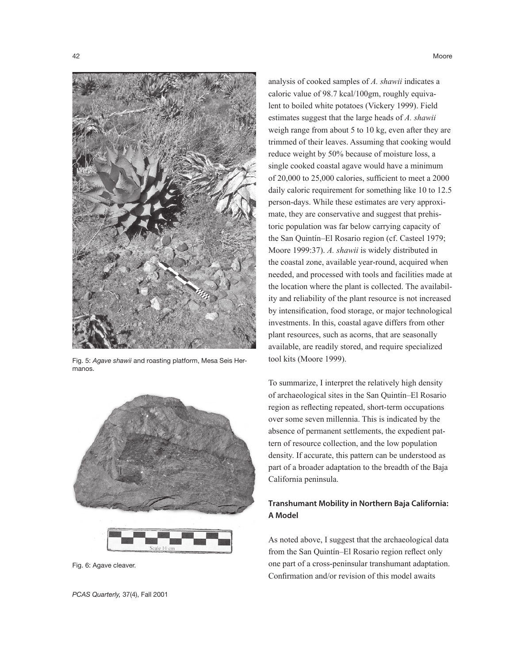

Fig. 5: *Agave shawii* and roasting platform, Mesa Seis Hermanos.



Fig. 6: Agave cleaver.

analysis of cooked samples of *A. shawii* indicates a caloric value of 98.7 kcal/100gm, roughly equivalent to boiled white potatoes (Vickery 1999). Field estimates suggest that the large heads of *A. shawii* weigh range from about 5 to 10 kg, even after they are trimmed of their leaves. Assuming that cooking would reduce weight by 50% because of moisture loss, a single cooked coastal agave would have a minimum of 20,000 to 25,000 calories, sufficient to meet a 2000 daily caloric requirement for something like 10 to 12.5 person-days. While these estimates are very approximate, they are conservative and suggest that prehistoric population was far below carrying capacity of the San Quintín–El Rosario region (cf. Casteel 1979; Moore 1999:37). *A. shawii* is widely distributed in the coastal zone, available year-round, acquired when needed, and processed with tools and facilities made at the location where the plant is collected. The availability and reliability of the plant resource is not increased by intensification, food storage, or major technological investments. In this, coastal agave differs from other plant resources, such as acorns, that are seasonally available, are readily stored, and require specialized tool kits (Moore 1999).

To summarize, I interpret the relatively high density of archaeological sites in the San Quintín–El Rosario region as reflecting repeated, short-term occupations over some seven millennia. This is indicated by the absence of permanent settlements, the expedient pattern of resource collection, and the low population density. If accurate, this pattern can be understood as part of a broader adaptation to the breadth of the Baja California peninsula.

# Transhumant Mobility in Northern Baja California: A Model

As noted above, I suggest that the archaeological data from the San Quintín–El Rosario region reflect only one part of a cross-peninsular transhumant adaptation. Confirmation and/or revision of this model awaits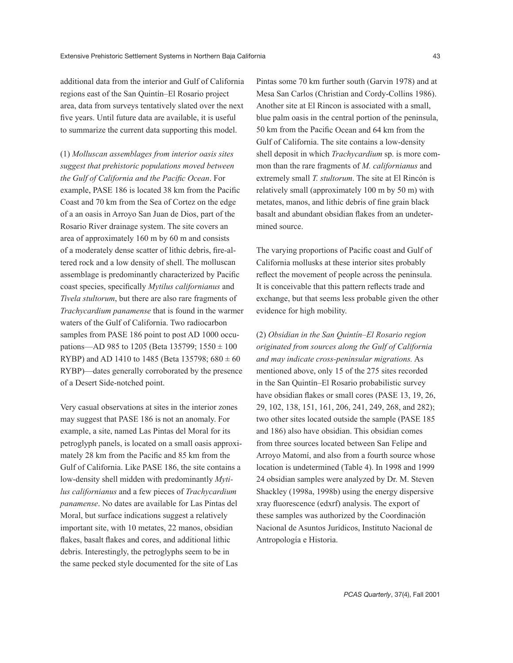additional data from the interior and Gulf of California regions east of the San Quintín–El Rosario project area, data from surveys tentatively slated over the next five years. Until future data are available, it is useful to summarize the current data supporting this model.

(1) *Molluscan assemblages from interior oasis sites suggest that prehistoric populations moved between the Gulf of California and the Pacific Ocean*. For example, PASE 186 is located 38 km from the Pacific Coast and 70 km from the Sea of Cortez on the edge of a an oasis in Arroyo San Juan de Dios, part of the Rosario River drainage system. The site covers an area of approximately 160 m by 60 m and consists of a moderately dense scatter of lithic debris, fire-altered rock and a low density of shell. The molluscan assemblage is predominantly characterized by Pacific coast species, specifically *Mytilus californianus* and *Tivela stultorum*, but there are also rare fragments of *Trachycardium panamense* that is found in the warmer waters of the Gulf of California. Two radiocarbon samples from PASE 186 point to post AD 1000 occupations—AD 985 to 1205 (Beta 135799;  $1550 \pm 100$ ) RYBP) and AD 1410 to 1485 (Beta 135798;  $680 \pm 60$ RYBP)—dates generally corroborated by the presence of a Desert Side-notched point.

Very casual observations at sites in the interior zones may suggest that PASE 186 is not an anomaly. For example, a site, named Las Pintas del Moral for its petroglyph panels, is located on a small oasis approximately 28 km from the Pacific and 85 km from the Gulf of California. Like PASE 186, the site contains a low-density shell midden with predominantly *Mytilus californianus* and a few pieces of *Trachycardium panamense*. No dates are available for Las Pintas del Moral, but surface indications suggest a relatively important site, with 10 metates, 22 manos, obsidian flakes, basalt flakes and cores, and additional lithic debris. Interestingly, the petroglyphs seem to be in the same pecked style documented for the site of Las

Pintas some 70 km further south (Garvin 1978) and at Mesa San Carlos (Christian and Cordy-Collins 1986). Another site at El Rincon is associated with a small, blue palm oasis in the central portion of the peninsula, 50 km from the Pacific Ocean and 64 km from the Gulf of California. The site contains a low-density shell deposit in which *Trachycardium* sp. is more common than the rare fragments of *M. californianus* and extremely small *T. stultorum*. The site at El Rincón is relatively small (approximately 100 m by 50 m) with metates, manos, and lithic debris of fine grain black basalt and abundant obsidian flakes from an undetermined source.

The varying proportions of Pacific coast and Gulf of California mollusks at these interior sites probably reflect the movement of people across the peninsula. It is conceivable that this pattern reflects trade and exchange, but that seems less probable given the other evidence for high mobility.

(2) *Obsidian in the San Quintín–El Rosario region originated from sources along the Gulf of California and may indicate cross-peninsular migrations.* As mentioned above, only 15 of the 275 sites recorded in the San Quintín–El Rosario probabilistic survey have obsidian flakes or small cores (PASE 13, 19, 26, 29, 102, 138, 151, 161, 206, 241, 249, 268, and 282); two other sites located outside the sample (PASE 185 and 186) also have obsidian. This obsidian comes from three sources located between San Felipe and Arroyo Matomí, and also from a fourth source whose location is undetermined (Table 4). In 1998 and 1999 24 obsidian samples were analyzed by Dr. M. Steven Shackley (1998a, 1998b) using the energy dispersive xray fluorescence (edxrf) analysis. The export of these samples was authorized by the Coordinación Nacional de Asuntos Jurídicos, Instituto Nacional de Antropología e Historia.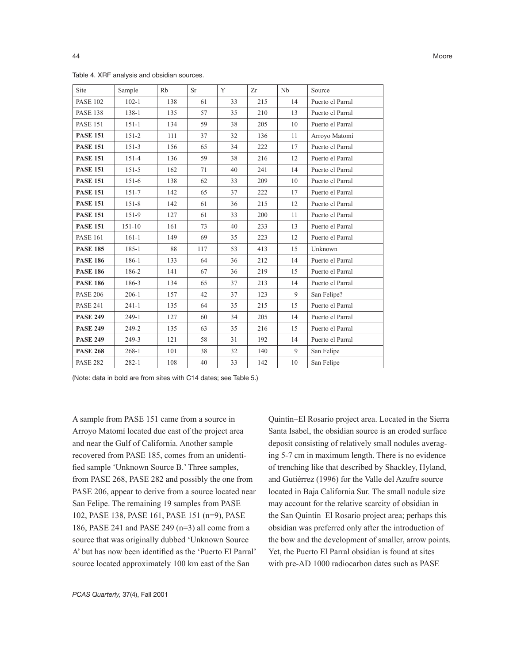#### Table 4. XRF analysis and obsidian sources.

| Site            | Sample     | Rb  | <b>Sr</b> | Y  | Zr  | Nb | Source           |
|-----------------|------------|-----|-----------|----|-----|----|------------------|
| <b>PASE 102</b> | $102 - 1$  | 138 | 61        | 33 | 215 | 14 | Puerto el Parral |
| <b>PASE 138</b> | $138 - 1$  | 135 | 57        | 35 | 210 | 13 | Puerto el Parral |
| <b>PASE 151</b> | $151 - 1$  | 134 | 59        | 38 | 205 | 10 | Puerto el Parral |
| <b>PASE 151</b> | $151 - 2$  | 111 | 37        | 32 | 136 | 11 | Arroyo Matomí    |
| <b>PASE 151</b> | $151-3$    | 156 | 65        | 34 | 222 | 17 | Puerto el Parral |
| <b>PASE 151</b> | $151 - 4$  | 136 | 59        | 38 | 216 | 12 | Puerto el Parral |
| <b>PASE 151</b> | $151 - 5$  | 162 | 71        | 40 | 241 | 14 | Puerto el Parral |
| <b>PASE 151</b> | $151-6$    | 138 | 62        | 33 | 209 | 10 | Puerto el Parral |
| <b>PASE 151</b> | $151 - 7$  | 142 | 65        | 37 | 222 | 17 | Puerto el Parral |
| <b>PASE 151</b> | $151 - 8$  | 142 | 61        | 36 | 215 | 12 | Puerto el Parral |
| <b>PASE 151</b> | 151-9      | 127 | 61        | 33 | 200 | 11 | Puerto el Parral |
| <b>PASE 151</b> | $151 - 10$ | 161 | 73        | 40 | 233 | 13 | Puerto el Parral |
| <b>PASE 161</b> | $161 - 1$  | 149 | 69        | 35 | 223 | 12 | Puerto el Parral |
| <b>PASE 185</b> | $185 - 1$  | 88  | 117       | 53 | 413 | 15 | Unknown          |
| <b>PASE 186</b> | 186-1      | 133 | 64        | 36 | 212 | 14 | Puerto el Parral |
| <b>PASE 186</b> | 186-2      | 141 | 67        | 36 | 219 | 15 | Puerto el Parral |
| <b>PASE 186</b> | 186-3      | 134 | 65        | 37 | 213 | 14 | Puerto el Parral |
| <b>PASE 206</b> | $206-1$    | 157 | 42        | 37 | 123 | 9  | San Felipe?      |
| <b>PASE 241</b> | $241 - 1$  | 135 | 64        | 35 | 215 | 15 | Puerto el Parral |
| <b>PASE 249</b> | $249-1$    | 127 | 60        | 34 | 205 | 14 | Puerto el Parral |
| <b>PASE 249</b> | 249-2      | 135 | 63        | 35 | 216 | 15 | Puerto el Parral |
| <b>PASE 249</b> | 249-3      | 121 | 58        | 31 | 192 | 14 | Puerto el Parral |
| <b>PASE 268</b> | $268 - 1$  | 101 | 38        | 32 | 140 | 9  | San Felipe       |
| <b>PASE 282</b> | $282 - 1$  | 108 | 40        | 33 | 142 | 10 | San Felipe       |

(Note: data in bold are from sites with C14 dates; see Table 5.)

A sample from PASE 151 came from a source in Arroyo Matomí located due east of the project area and near the Gulf of California. Another sample recovered from PASE 185, comes from an unidentified sample 'Unknown Source B.' Three samples, from PASE 268, PASE 282 and possibly the one from PASE 206, appear to derive from a source located near San Felipe. The remaining 19 samples from PASE 102, PASE 138, PASE 161, PASE 151 (n=9), PASE 186, PASE 241 and PASE 249 (n=3) all come from a source that was originally dubbed 'Unknown Source A' but has now been identified as the 'Puerto El Parral' source located approximately 100 km east of the San

Quintín–El Rosario project area. Located in the Sierra Santa Isabel, the obsidian source is an eroded surface deposit consisting of relatively small nodules averaging 5-7 cm in maximum length. There is no evidence of trenching like that described by Shackley, Hyland, and Gutiérrez (1996) for the Valle del Azufre source located in Baja California Sur. The small nodule size may account for the relative scarcity of obsidian in the San Quintín–El Rosario project area; perhaps this obsidian was preferred only after the introduction of the bow and the development of smaller, arrow points. Yet, the Puerto El Parral obsidian is found at sites with pre-AD 1000 radiocarbon dates such as PASE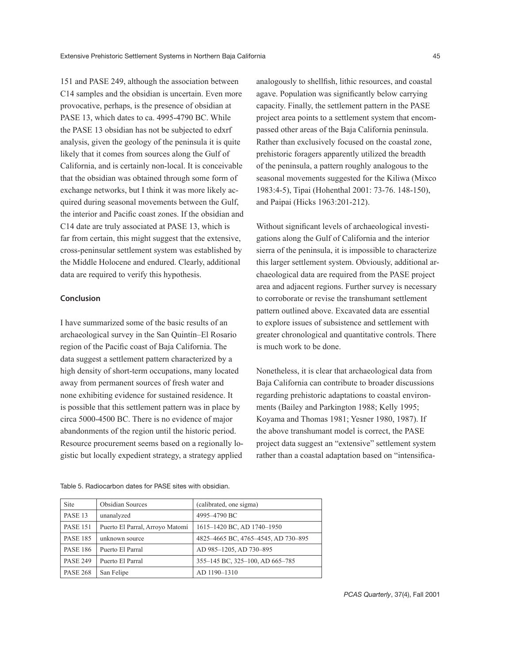151 and PASE 249, although the association between C14 samples and the obsidian is uncertain. Even more provocative, perhaps, is the presence of obsidian at PASE 13, which dates to ca. 4995-4790 BC. While the PASE 13 obsidian has not be subjected to edxrf analysis, given the geology of the peninsula it is quite likely that it comes from sources along the Gulf of California, and is certainly non-local. It is conceivable that the obsidian was obtained through some form of exchange networks, but I think it was more likely acquired during seasonal movements between the Gulf, the interior and Pacific coast zones. If the obsidian and C14 date are truly associated at PASE 13, which is far from certain, this might suggest that the extensive, cross-peninsular settlement system was established by the Middle Holocene and endured. Clearly, additional data are required to verify this hypothesis.

## Conclusion

I have summarized some of the basic results of an archaeological survey in the San Quintín–El Rosario region of the Pacific coast of Baja California. The data suggest a settlement pattern characterized by a high density of short-term occupations, many located away from permanent sources of fresh water and none exhibiting evidence for sustained residence. It is possible that this settlement pattern was in place by circa 5000-4500 BC. There is no evidence of major abandonments of the region until the historic period. Resource procurement seems based on a regionally logistic but locally expedient strategy, a strategy applied

analogously to shellfish, lithic resources, and coastal agave. Population was significantly below carrying capacity. Finally, the settlement pattern in the PASE project area points to a settlement system that encompassed other areas of the Baja California peninsula. Rather than exclusively focused on the coastal zone, prehistoric foragers apparently utilized the breadth of the peninsula, a pattern roughly analogous to the seasonal movements suggested for the Kiliwa (Mixco 1983:4-5), Tipai (Hohenthal 2001: 73-76. 148-150), and Paipai (Hicks 1963:201-212).

Without significant levels of archaeological investigations along the Gulf of California and the interior sierra of the peninsula, it is impossible to characterize this larger settlement system. Obviously, additional archaeological data are required from the PASE project area and adjacent regions. Further survey is necessary to corroborate or revise the transhumant settlement pattern outlined above. Excavated data are essential to explore issues of subsistence and settlement with greater chronological and quantitative controls. There is much work to be done.

Nonetheless, it is clear that archaeological data from Baja California can contribute to broader discussions regarding prehistoric adaptations to coastal environments (Bailey and Parkington 1988; Kelly 1995; Koyama and Thomas 1981; Yesner 1980, 1987). If the above transhumant model is correct, the PASE project data suggest an "extensive" settlement system rather than a coastal adaptation based on "intensifica-

| Site            | <b>Obsidian Sources</b>         | (calibrated, one sigma)             |
|-----------------|---------------------------------|-------------------------------------|
| PASE 13         | unanalyzed                      | 4995-4790 BC                        |
| <b>PASE 151</b> | Puerto El Parral, Arroyo Matomí | 1615-1420 BC, AD 1740-1950          |
| <b>PASE 185</b> | unknown source                  | 4825-4665 BC, 4765-4545, AD 730-895 |
| <b>PASE 186</b> | Puerto El Parral                | AD 985-1205, AD 730-895             |
| <b>PASE 249</b> | Puerto El Parral                | 355-145 BC, 325-100, AD 665-785     |
| <b>PASE 268</b> | San Felipe                      | AD 1190-1310                        |

Table 5. Radiocarbon dates for PASE sites with obsidian.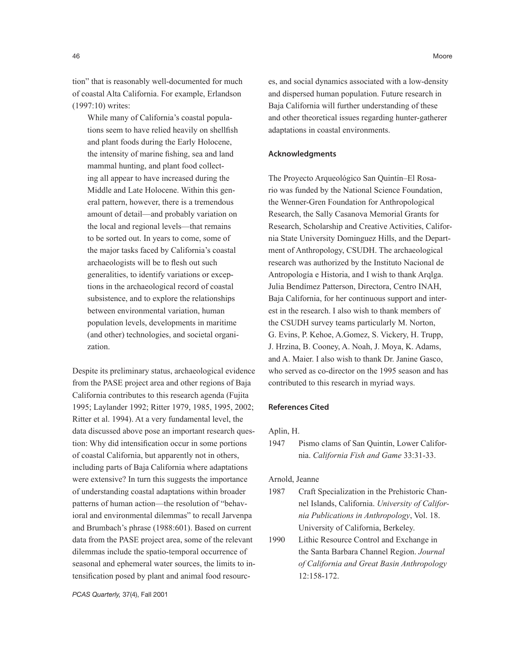tion" that is reasonably well-documented for much of coastal Alta California. For example, Erlandson (1997:10) writes:

While many of California's coastal populations seem to have relied heavily on shellfish and plant foods during the Early Holocene, the intensity of marine fishing, sea and land mammal hunting, and plant food collecting all appear to have increased during the Middle and Late Holocene. Within this general pattern, however, there is a tremendous amount of detail—and probably variation on the local and regional levels—that remains to be sorted out. In years to come, some of the major tasks faced by California's coastal archaeologists will be to flesh out such generalities, to identify variations or exceptions in the archaeological record of coastal subsistence, and to explore the relationships between environmental variation, human population levels, developments in maritime (and other) technologies, and societal organization.

Despite its preliminary status, archaeological evidence from the PASE project area and other regions of Baja California contributes to this research agenda (Fujita 1995; Laylander 1992; Ritter 1979, 1985, 1995, 2002; Ritter et al. 1994). At a very fundamental level, the data discussed above pose an important research question: Why did intensification occur in some portions of coastal California, but apparently not in others, including parts of Baja California where adaptations were extensive? In turn this suggests the importance of understanding coastal adaptations within broader patterns of human action—the resolution of "behavioral and environmental dilemmas" to recall Jarvenpa and Brumbach's phrase (1988:601). Based on current data from the PASE project area, some of the relevant dilemmas include the spatio-temporal occurrence of seasonal and ephemeral water sources, the limits to intensification posed by plant and animal food resources, and social dynamics associated with a low-density and dispersed human population. Future research in Baja California will further understanding of these and other theoretical issues regarding hunter-gatherer adaptations in coastal environments.

#### Acknowledgments

The Proyecto Arqueológico San Quintín–El Rosario was funded by the National Science Foundation, the Wenner-Gren Foundation for Anthropological Research, the Sally Casanova Memorial Grants for Research, Scholarship and Creative Activities, California State University Dominguez Hills, and the Department of Anthropology, CSUDH. The archaeological research was authorized by the Instituto Nacional de Antropología e Historia, and I wish to thank Arqlga. Julia Bendímez Patterson, Directora, Centro INAH, Baja California, for her continuous support and interest in the research. I also wish to thank members of the CSUDH survey teams particularly M. Norton, G. Evins, P. Kehoe, A.Gomez, S. Vickery, H. Trupp, J. Hrzina, B. Cooney, A. Noah, J. Moya, K. Adams, and A. Maier. I also wish to thank Dr. Janine Gasco, who served as co-director on the 1995 season and has contributed to this research in myriad ways.

#### References Cited

Aplin, H.

1947 Pismo clams of San Quintín, Lower California. *California Fish and Game* 33:31-33.

Arnold, Jeanne

- 1987 Craft Specialization in the Prehistoric Channel Islands, California. *University of California Publications in Anthropology*, Vol. 18. University of California, Berkeley.
- 1990 Lithic Resource Control and Exchange in the Santa Barbara Channel Region. *Journal of California and Great Basin Anthropology* 12:158-172.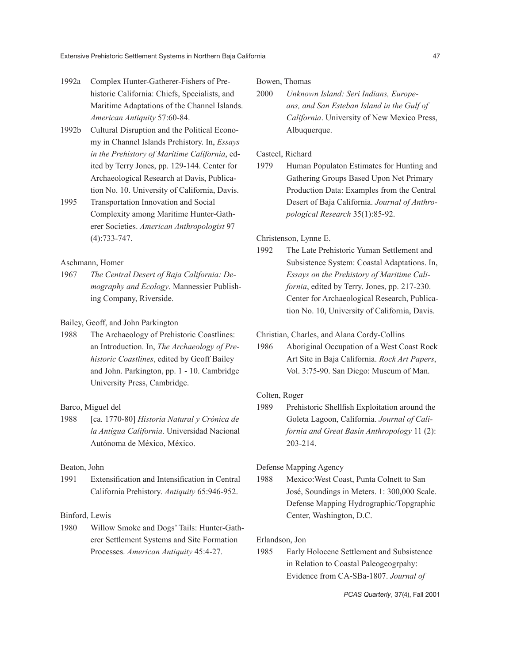- 1992a Complex Hunter-Gatherer-Fishers of Prehistoric California: Chiefs, Specialists, and Maritime Adaptations of the Channel Islands. *American Antiquity* 57:60-84.
- 1992b Cultural Disruption and the Political Economy in Channel Islands Prehistory. In, *Essays in the Prehistory of Maritime California*, edited by Terry Jones, pp. 129-144. Center for Archaeological Research at Davis, Publication No. 10. University of California, Davis.
- 1995 Transportation Innovation and Social Complexity among Maritime Hunter-Gatherer Societies. *American Anthropologist* 97 (4):733-747.

Aschmann, Homer

1967 *The Central Desert of Baja California: Demography and Ecology*. Mannessier Publishing Company, Riverside.

Bailey, Geoff, and John Parkington

1988 The Archaeology of Prehistoric Coastlines: an Introduction. In, *The Archaeology of Prehistoric Coastlines*, edited by Geoff Bailey and John. Parkington, pp. 1 - 10. Cambridge University Press, Cambridge.

## Barco, Miguel del

1988 [ca. 1770-80] *Historia Natural y Crónica de la Antigua California*. Universidad Nacional Autónoma de México, México.

#### Beaton, John

1991 Extensification and Intensification in Central California Prehistory. *Antiquity* 65:946-952.

## Binford, Lewis

1980 Willow Smoke and Dogs' Tails: Hunter-Gatherer Settlement Systems and Site Formation Processes. *American Antiquity* 45:4-27.

Bowen, Thomas

2000 *Unknown Island: Seri Indians, Europeans, and San Esteban Island in the Gulf of California*. University of New Mexico Press, Albuquerque.

## Casteel, Richard

1979 Human Populaton Estimates for Hunting and Gathering Groups Based Upon Net Primary Production Data: Examples from the Central Desert of Baja California. *Journal of Anthropological Research* 35(1):85-92.

Christenson, Lynne E.

1992 The Late Prehistoric Yuman Settlement and Subsistence System: Coastal Adaptations. In, *Essays on the Prehistory of Maritime California*, edited by Terry. Jones, pp. 217-230. Center for Archaeological Research, Publication No. 10, University of California, Davis.

Christian, Charles, and Alana Cordy-Collins

1986 Aboriginal Occupation of a West Coast Rock Art Site in Baja California. *Rock Art Papers*, Vol. 3:75-90. San Diego: Museum of Man.

## Colten, Roger

1989 Prehistoric Shellfish Exploitation around the Goleta Lagoon, California. *Journal of California and Great Basin Anthropology* 11 (2): 203-214.

## Defense Mapping Agency

1988 Mexico:West Coast, Punta Colnett to San José, Soundings in Meters. 1: 300,000 Scale. Defense Mapping Hydrographic/Topgraphic Center, Washington, D.C.

#### Erlandson, Jon

1985 Early Holocene Settlement and Subsistence in Relation to Coastal Paleogeogrpahy: Evidence from CA-SBa-1807. *Journal of*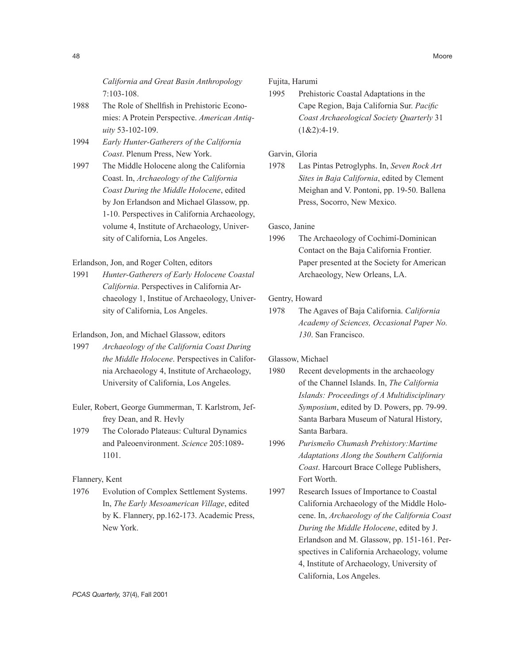*California and Great Basin Anthropology* 7:103-108.

- 1988 The Role of Shellfish in Prehistoric Economies: A Protein Perspective. *American Antiquity* 53-102-109.
- 1994 *Early Hunter-Gatherers of the California Coast*. Plenum Press, New York.

1997 The Middle Holocene along the California Coast. In, *Archaeology of the California Coast During the Middle Holocene*, edited by Jon Erlandson and Michael Glassow, pp. 1-10. Perspectives in California Archaeology, volume 4, Institute of Archaeology, University of California, Los Angeles.

## Erlandson, Jon, and Roger Colten, editors

1991 *Hunter-Gatherers of Early Holocene Coastal California*. Perspectives in California Archaeology 1, Institue of Archaeology, University of California, Los Angeles.

## Erlandson, Jon, and Michael Glassow, editors

- 1997 *Archaeology of the California Coast During the Middle Holocene*. Perspectives in California Archaeology 4, Institute of Archaeology, University of California, Los Angeles.
- Euler, Robert, George Gummerman, T. Karlstrom, Jeffrey Dean, and R. Hevly
- 1979 The Colorado Plateaus: Cultural Dynamics and Paleoenvironment. *Science* 205:1089- 1101.

#### Flannery, Kent

1976 Evolution of Complex Settlement Systems. In, *The Early Mesoamerican Village*, edited by K. Flannery, pp.162-173. Academic Press, New York.

# Fujita, Harumi

1995 Prehistoric Coastal Adaptations in the Cape Region, Baja California Sur. *Pacific Coast Archaeological Society Quarterly* 31  $(1&2):4-19.$ 

## Garvin, Gloria

1978 Las Pintas Petroglyphs. In, *Seven Rock Art Sites in Baja California*, edited by Clement Meighan and V. Pontoni, pp. 19-50. Ballena Press, Socorro, New Mexico.

#### Gasco, Janine

1996 The Archaeology of Cochimí-Dominican Contact on the Baja California Frontier. Paper presented at the Society for American Archaeology, New Orleans, LA.

## Gentry, Howard

1978 The Agaves of Baja California. *California Academy of Sciences, Occasional Paper No. 130*. San Francisco.

## Glassow, Michael

- 1980 Recent developments in the archaeology of the Channel Islands. In, *The California Islands: Proceedings of A Multidisciplinary Symposium*, edited by D. Powers, pp. 79-99. Santa Barbara Museum of Natural History, Santa Barbara.
- 1996 *Purismeño Chumash Prehistory:Martime Adaptations Along the Southern California Coast*. Harcourt Brace College Publishers, Fort Worth.
- 1997 Research Issues of Importance to Coastal California Archaeology of the Middle Holocene. In, *Archaeology of the California Coast During the Middle Holocene*, edited by J. Erlandson and M. Glassow, pp. 151-161. Perspectives in California Archaeology, volume 4, Institute of Archaeology, University of California, Los Angeles.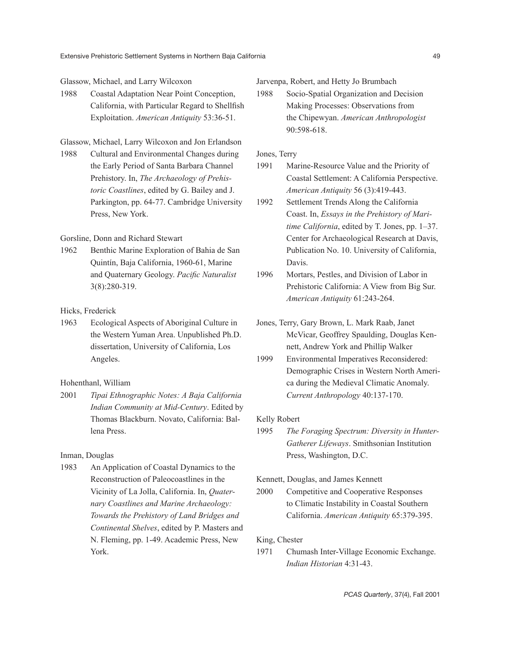#### Glassow, Michael, and Larry Wilcoxon

1988 Coastal Adaptation Near Point Conception, California, with Particular Regard to Shellfish Exploitation. *American Antiquity* 53:36-51.

#### Glassow, Michael, Larry Wilcoxon and Jon Erlandson

1988 Cultural and Environmental Changes during the Early Period of Santa Barbara Channel Prehistory. In, *The Archaeology of Prehistoric Coastlines*, edited by G. Bailey and J. Parkington, pp. 64-77. Cambridge University Press, New York.

## Gorsline, Donn and Richard Stewart

1962 Benthic Marine Exploration of Bahia de San Quintín, Baja California, 1960-61, Marine and Quaternary Geology. *Pacific Naturalist* 3(8):280-319.

## Hicks, Frederick

1963 Ecological Aspects of Aboriginal Culture in the Western Yuman Area. Unpublished Ph.D. dissertation, University of California, Los Angeles.

# Hohenthanl, William

2001 *Tipai Ethnographic Notes: A Baja California Indian Community at Mid-Century*. Edited by Thomas Blackburn. Novato, California: Ballena Press.

## Inman, Douglas

1983 An Application of Coastal Dynamics to the Reconstruction of Paleocoastlines in the Vicinity of La Jolla, California. In, *Quaternary Coastlines and Marine Archaeology: Towards the Prehistory of Land Bridges and Continental Shelves*, edited by P. Masters and N. Fleming, pp. 1-49. Academic Press, New York.

Jarvenpa, Robert, and Hetty Jo Brumbach

1988 Socio-Spatial Organization and Decision Making Processes: Observations from the Chipewyan. *American Anthropologist* 90:598-618.

## Jones, Terry

- 1991 Marine-Resource Value and the Priority of Coastal Settlement: A California Perspective. *American Antiquity* 56 (3):419-443.
- 1992 Settlement Trends Along the California Coast. In, *Essays in the Prehistory of Maritime California*, edited by T. Jones, pp. 1–37. Center for Archaeological Research at Davis, Publication No. 10. University of California, Davis.
- 1996 Mortars, Pestles, and Division of Labor in Prehistoric California: A View from Big Sur. *American Antiquity* 61:243-264.
- Jones, Terry, Gary Brown, L. Mark Raab, Janet McVicar, Geoffrey Spaulding, Douglas Kennett, Andrew York and Phillip Walker
- 1999 Environmental Imperatives Reconsidered: Demographic Crises in Western North America during the Medieval Climatic Anomaly. *Current Anthropology* 40:137-170.

#### Kelly Robert

1995 *The Foraging Spectrum: Diversity in Hunter-Gatherer Lifeways*. Smithsonian Institution Press, Washington, D.C.

#### Kennett, Douglas, and James Kennett

2000 Competitive and Cooperative Responses to Climatic Instability in Coastal Southern California. *American Antiquity* 65:379-395.

#### King, Chester

1971 Chumash Inter-Village Economic Exchange. *Indian Historian* 4:31-43.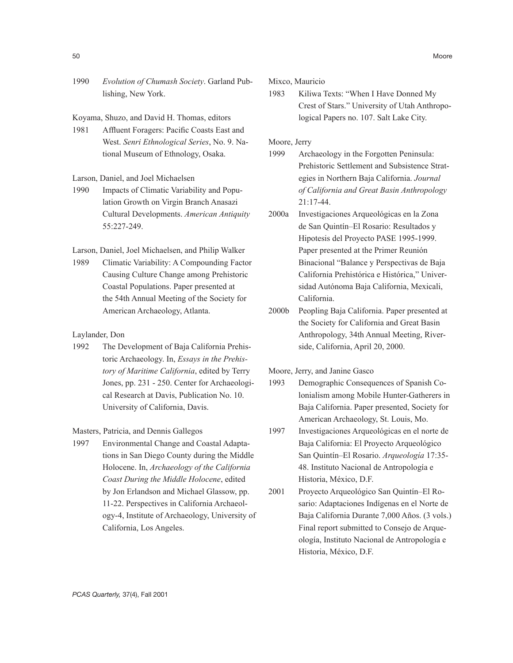1990 *Evolution of Chumash Society*. Garland Publishing, New York.

Koyama, Shuzo, and David H. Thomas, editors

1981 Affluent Foragers: Pacific Coasts East and West. *Senri Ethnological Series*, No. 9. National Museum of Ethnology, Osaka.

Larson, Daniel, and Joel Michaelsen

1990 Impacts of Climatic Variability and Population Growth on Virgin Branch Anasazi Cultural Developments. *American Antiquity* 55:227-249.

Larson, Daniel, Joel Michaelsen, and Philip Walker

1989 Climatic Variability: A Compounding Factor Causing Culture Change among Prehistoric Coastal Populations. Paper presented at the 54th Annual Meeting of the Society for American Archaeology, Atlanta.

#### Laylander, Don

1992 The Development of Baja California Prehistoric Archaeology. In, *Essays in the Prehistory of Maritime California*, edited by Terry Jones, pp. 231 - 250. Center for Archaeological Research at Davis, Publication No. 10. University of California, Davis.

## Masters, Patricia, and Dennis Gallegos

1997 Environmental Change and Coastal Adaptations in San Diego County during the Middle Holocene. In, *Archaeology of the California Coast During the Middle Holocene*, edited by Jon Erlandson and Michael Glassow, pp. 11-22. Perspectives in California Archaeology-4, Institute of Archaeology, University of California, Los Angeles.

Mixco, Mauricio

1983 Kiliwa Texts: "When I Have Donned My Crest of Stars." University of Utah Anthropological Papers no. 107. Salt Lake City.

Moore, Jerry

- 1999 Archaeology in the Forgotten Peninsula: Prehistoric Settlement and Subsistence Strategies in Northern Baja California. *Journal of California and Great Basin Anthropology* 21:17-44.
- 2000a Investigaciones Arqueológicas en la Zona de San Quintín–El Rosario: Resultados y Hipotesis del Proyecto PASE 1995-1999. Paper presented at the Primer Reunión Binacional "Balance y Perspectivas de Baja California Prehistórica e Histórica," Universidad Autónoma Baja California, Mexicali, California.
- 2000b Peopling Baja California. Paper presented at the Society for California and Great Basin Anthropology, 34th Annual Meeting, Riverside, California, April 20, 2000.

Moore, Jerry, and Janine Gasco

- 1993 Demographic Consequences of Spanish Colonialism among Mobile Hunter-Gatherers in Baja California. Paper presented, Society for American Archaeology, St. Louis, Mo.
- 1997 Investigaciones Arqueológicas en el norte de Baja California: El Proyecto Arqueológico San Quintín–El Rosario. *Arqueología* 17:35- 48. Instituto Nacional de Antropología e Historia, México, D.F.
- 2001 Proyecto Arqueológico San Quintín–El Rosario: Adaptaciones Indígenas en el Norte de Baja California Durante 7,000 Años. (3 vols.) Final report submitted to Consejo de Arqueología, Instituto Nacional de Antropología e Historia, México, D.F.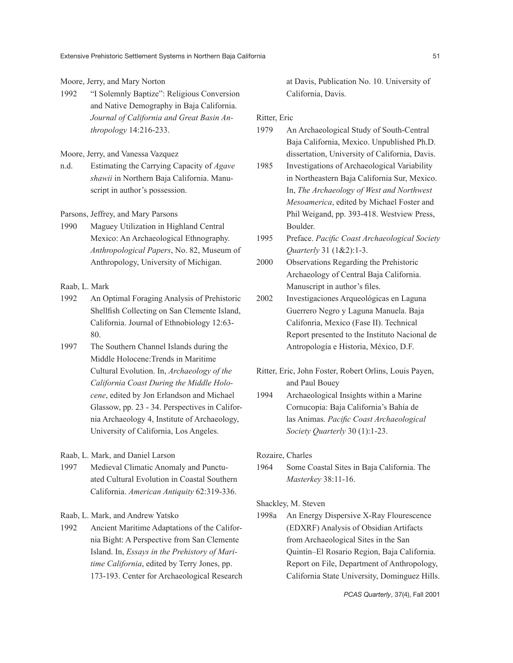Moore, Jerry, and Mary Norton

1992 "I Solemnly Baptize": Religious Conversion and Native Demography in Baja California. *Journal of California and Great Basin Anthropology* 14:216-233.

## Moore, Jerry, and Vanessa Vazquez

n.d. Estimating the Carrying Capacity of *Agave shawii* in Northern Baja California. Manuscript in author's possession.

#### Parsons, Jeffrey, and Mary Parsons

1990 Maguey Utilization in Highland Central Mexico: An Archaeological Ethnography. *Anthropological Papers*, No. 82, Museum of Anthropology, University of Michigan.

## Raab, L. Mark

- 1992 An Optimal Foraging Analysis of Prehistoric Shellfish Collecting on San Clemente Island, California. Journal of Ethnobiology 12:63- 80.
- 1997 The Southern Channel Islands during the Middle Holocene:Trends in Maritime Cultural Evolution. In, *Archaeology of the California Coast During the Middle Holocene*, edited by Jon Erlandson and Michael Glassow, pp. 23 - 34. Perspectives in California Archaeology 4, Institute of Archaeology, University of California, Los Angeles.

Raab, L. Mark, and Daniel Larson

1997 Medieval Climatic Anomaly and Punctuated Cultural Evolution in Coastal Southern California. *American Antiquity* 62:319-336.

Raab, L. Mark, and Andrew Yatsko

1992 Ancient Maritime Adaptations of the California Bight: A Perspective from San Clemente Island. In, *Essays in the Prehistory of Maritime California*, edited by Terry Jones, pp. 173-193. Center for Archaeological Research

at Davis, Publication No. 10. University of California, Davis.

#### Ritter, Eric

- 1979 An Archaeological Study of South-Central Baja California, Mexico. Unpublished Ph.D. dissertation, University of California, Davis.
- 1985 Investigations of Archaeological Variability in Northeastern Baja California Sur, Mexico. In, *The Archaeology of West and Northwest Mesoamerica*, edited by Michael Foster and Phil Weigand, pp. 393-418. Westview Press, Boulder.
- 1995 Preface. *Pacific Coast Archaeological Society Quarterly* 31 (1&2):1-3.
- 2000 Observations Regarding the Prehistoric Archaeology of Central Baja California. Manuscript in author's files.
- 2002 Investigaciones Arqueológicas en Laguna Guerrero Negro y Laguna Manuela. Baja Califonria, Mexico (Fase II). Technical Report presented to the Instituto Nacional de Antropología e Historia, México, D.F.
- Ritter, Eric, John Foster, Robert Orlins, Louis Payen, and Paul Bouey
- 1994 Archaeological Insights within a Marine Cornucopia: Baja California's Bahía de las Animas. *Pacific Coast Archaeological Society Quarterly* 30 (1):1-23.

Rozaire, Charles

1964 Some Coastal Sites in Baja California. The *Masterkey* 38:11-16.

#### Shackley, M. Steven

1998a An Energy Dispersive X-Ray Flourescence (EDXRF) Analysis of Obsidian Artifacts from Archaeological Sites in the San Quintín–El Rosario Region, Baja California. Report on File, Department of Anthropology, California State University, Dominguez Hills.